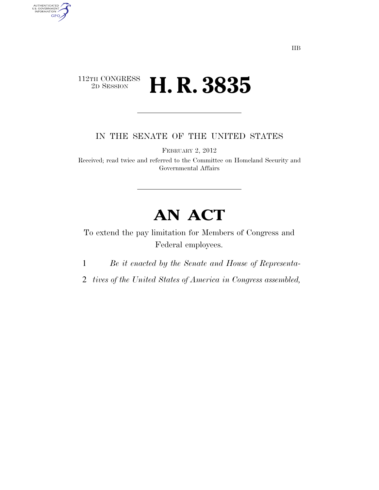## $\begin{array}{c} \textbf{112TH CONGRESS} \\ \textbf{2D SESION} \end{array}$ 2D SESSION **H. R. 3835**

AUTHENTICATED<br>U.S. GOVERNMENT<br>INFORMATION GPO

IN THE SENATE OF THE UNITED STATES

FEBRUARY 2, 2012

Received; read twice and referred to the Committee on Homeland Security and Governmental Affairs

## **AN ACT**

To extend the pay limitation for Members of Congress and Federal employees.

1 *Be it enacted by the Senate and House of Representa-*

2 *tives of the United States of America in Congress assembled,*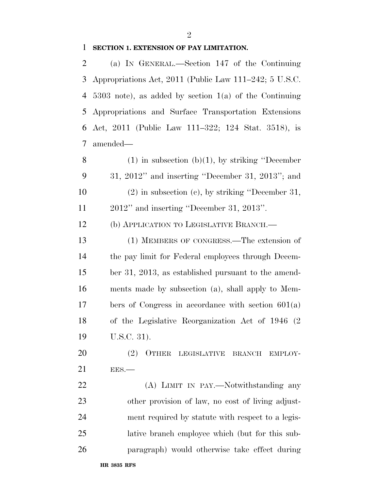## **SECTION 1. EXTENSION OF PAY LIMITATION.**

 (a) IN GENERAL.—Section 147 of the Continuing Appropriations Act, 2011 (Public Law 111–242; 5 U.S.C. 5303 note), as added by section 1(a) of the Continuing Appropriations and Surface Transportation Extensions Act, 2011 (Public Law 111–322; 124 Stat. 3518), is amended— 8 (1) in subsection  $(b)(1)$ , by striking "December" 31, 2012'' and inserting ''December 31, 2013''; and (2) in subsection (c), by striking ''December 31, 2012'' and inserting ''December 31, 2013''.

(b) APPLICATION TO LEGISLATIVE BRANCH.—

 (1) MEMBERS OF CONGRESS.—The extension of the pay limit for Federal employees through Decem- ber 31, 2013, as established pursuant to the amend- ments made by subsection (a), shall apply to Mem- bers of Congress in accordance with section 601(a) of the Legislative Reorganization Act of 1946 (2 U.S.C. 31).

20 (2) OTHER LEGISLATIVE BRANCH EMPLOY-EES.—

 (A) LIMIT IN PAY.—Notwithstanding any other provision of law, no cost of living adjust- ment required by statute with respect to a legis- lative branch employee which (but for this sub-paragraph) would otherwise take effect during